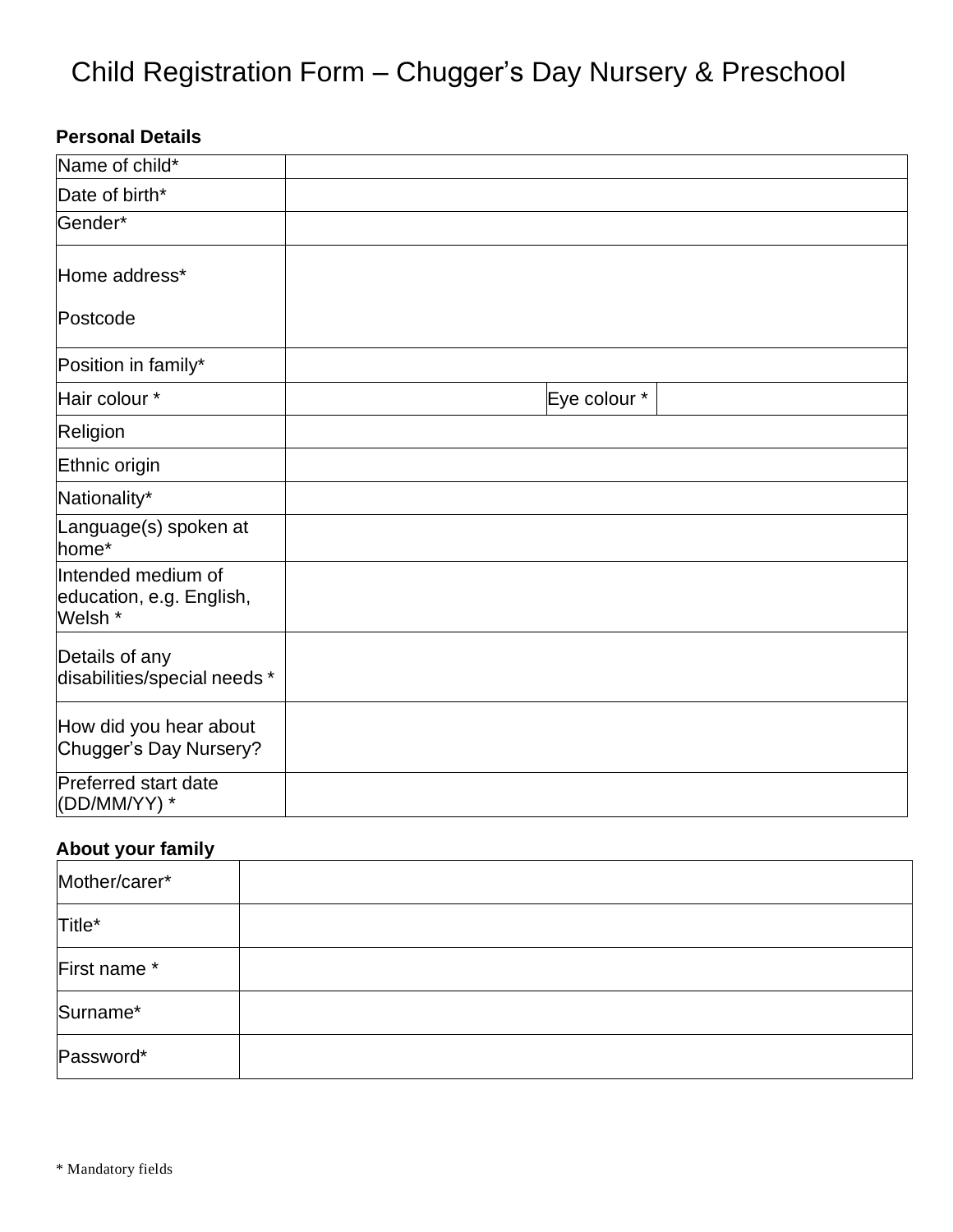# Child Registration Form – Chugger's Day Nursery & Preschool

# **Personal Details**

| Name of child*                                            |              |
|-----------------------------------------------------------|--------------|
| Date of birth*                                            |              |
| Gender*                                                   |              |
| Home address*                                             |              |
| Postcode                                                  |              |
| Position in family*                                       |              |
| Hair colour *                                             | Eye colour * |
| Religion                                                  |              |
| Ethnic origin                                             |              |
| Nationality*                                              |              |
| Language(s) spoken at<br>home*                            |              |
| Intended medium of<br>education, e.g. English,<br>Welsh * |              |
| Details of any<br>disabilities/special needs *            |              |
| How did you hear about<br>Chugger's Day Nursery?          |              |
| Preferred start date<br>(DD/MM/YY) *                      |              |

### **About your family**

| Mother/carer* |  |
|---------------|--|
| Title*        |  |
| First name *  |  |
| Surname*      |  |
| Password*     |  |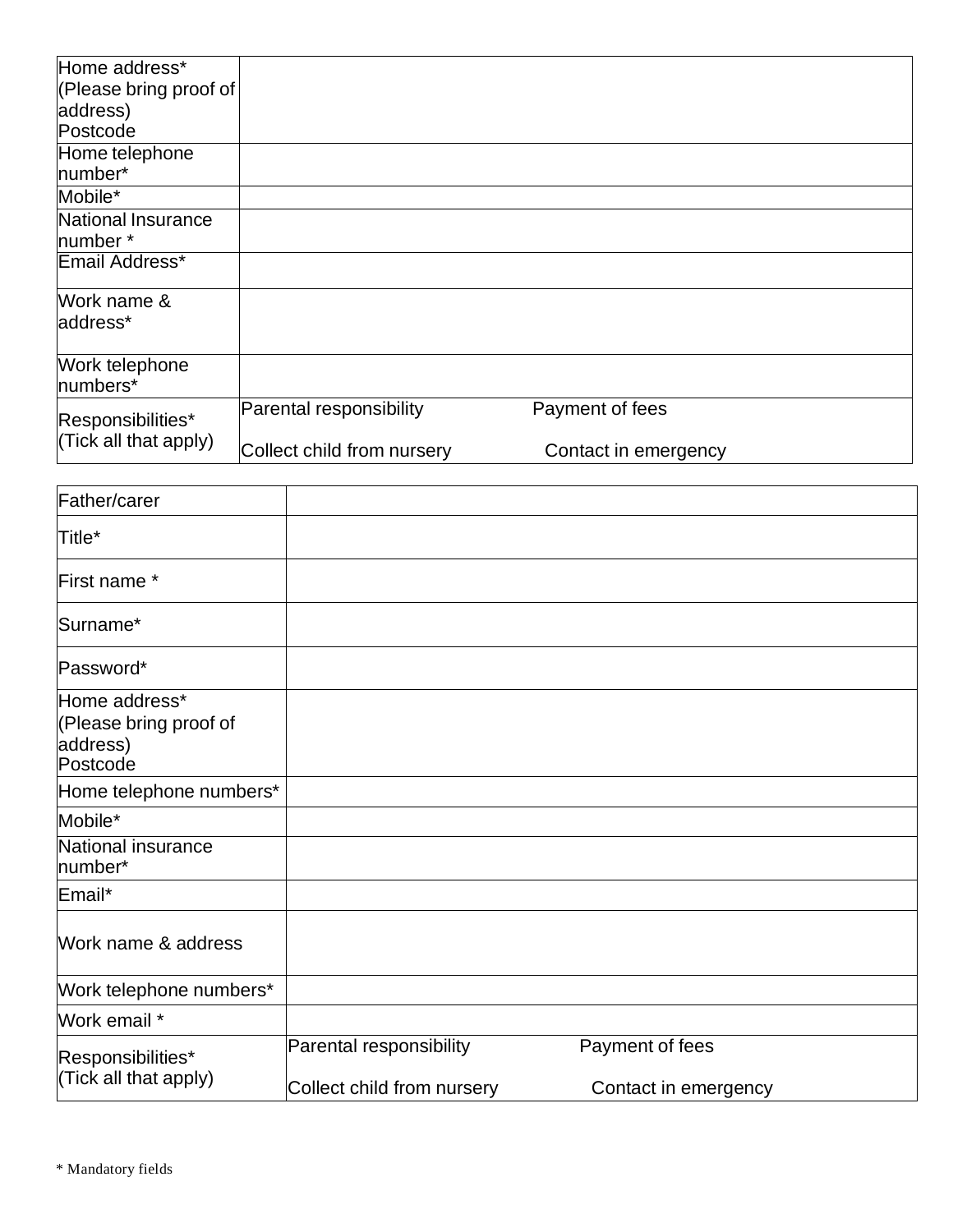| Home address*          |                            |                      |  |
|------------------------|----------------------------|----------------------|--|
| (Please bring proof of |                            |                      |  |
| address)               |                            |                      |  |
| Postcode               |                            |                      |  |
| Home telephone         |                            |                      |  |
| number*                |                            |                      |  |
| Mobile*                |                            |                      |  |
| National Insurance     |                            |                      |  |
| number *               |                            |                      |  |
| Email Address*         |                            |                      |  |
| Work name &            |                            |                      |  |
| address*               |                            |                      |  |
|                        |                            |                      |  |
| Work telephone         |                            |                      |  |
| numbers*               |                            |                      |  |
| Responsibilities*      | Parental responsibility    | Payment of fees      |  |
| (Tick all that apply)  | Collect child from nursery | Contact in emergency |  |

| Father/carer                                                    |                                                       |                                         |  |
|-----------------------------------------------------------------|-------------------------------------------------------|-----------------------------------------|--|
| Title*                                                          |                                                       |                                         |  |
| First name *                                                    |                                                       |                                         |  |
| Surname*                                                        |                                                       |                                         |  |
| Password*                                                       |                                                       |                                         |  |
| Home address*<br>(Please bring proof of<br>address)<br>Postcode |                                                       |                                         |  |
| Home telephone numbers*                                         |                                                       |                                         |  |
| Mobile*                                                         |                                                       |                                         |  |
| National insurance<br>number*                                   |                                                       |                                         |  |
| Email*                                                          |                                                       |                                         |  |
| Work name & address                                             |                                                       |                                         |  |
| Work telephone numbers*                                         |                                                       |                                         |  |
| Work email *                                                    |                                                       |                                         |  |
| Responsibilities*<br>(Tick all that apply)                      | Parental responsibility<br>Collect child from nursery | Payment of fees<br>Contact in emergency |  |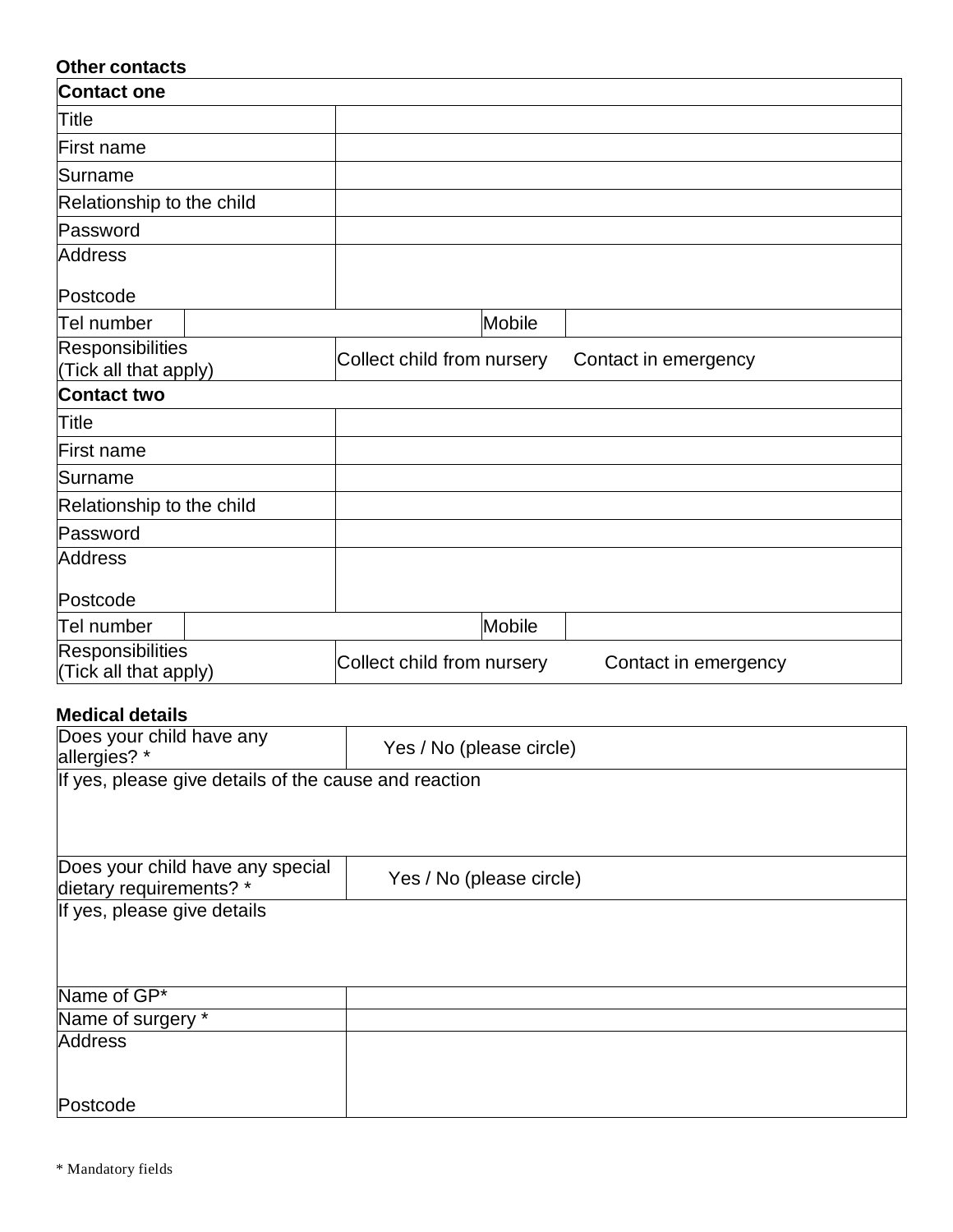# **Other contacts Contact one** Title First name Surname **Relationship to the child** Password **Address** Postcode Tel number  $\qquad$  Mobile Responsibilities<br>(Tick all that apply) Collect child from nursery Contact in emergency **Contact two Title** First name Surname Relationship to the child Password **Address** Postcode Tel number  $\blacksquare$  Mobile Responsibilities<br>(Tick all that apply) Collect child from nursery Contact in emergency

#### **Medical details**

| Does your child have any<br>allergies? *              | Yes / No (please circle) |  |  |
|-------------------------------------------------------|--------------------------|--|--|
| If yes, please give details of the cause and reaction |                          |  |  |
|                                                       |                          |  |  |
| Does your child have any special                      |                          |  |  |
| dietary requirements? *                               | Yes / No (please circle) |  |  |
| If yes, please give details                           |                          |  |  |
|                                                       |                          |  |  |
|                                                       |                          |  |  |
| Name of GP*                                           |                          |  |  |
| Name of surgery *                                     |                          |  |  |
| <b>Address</b>                                        |                          |  |  |
|                                                       |                          |  |  |
| Postcode                                              |                          |  |  |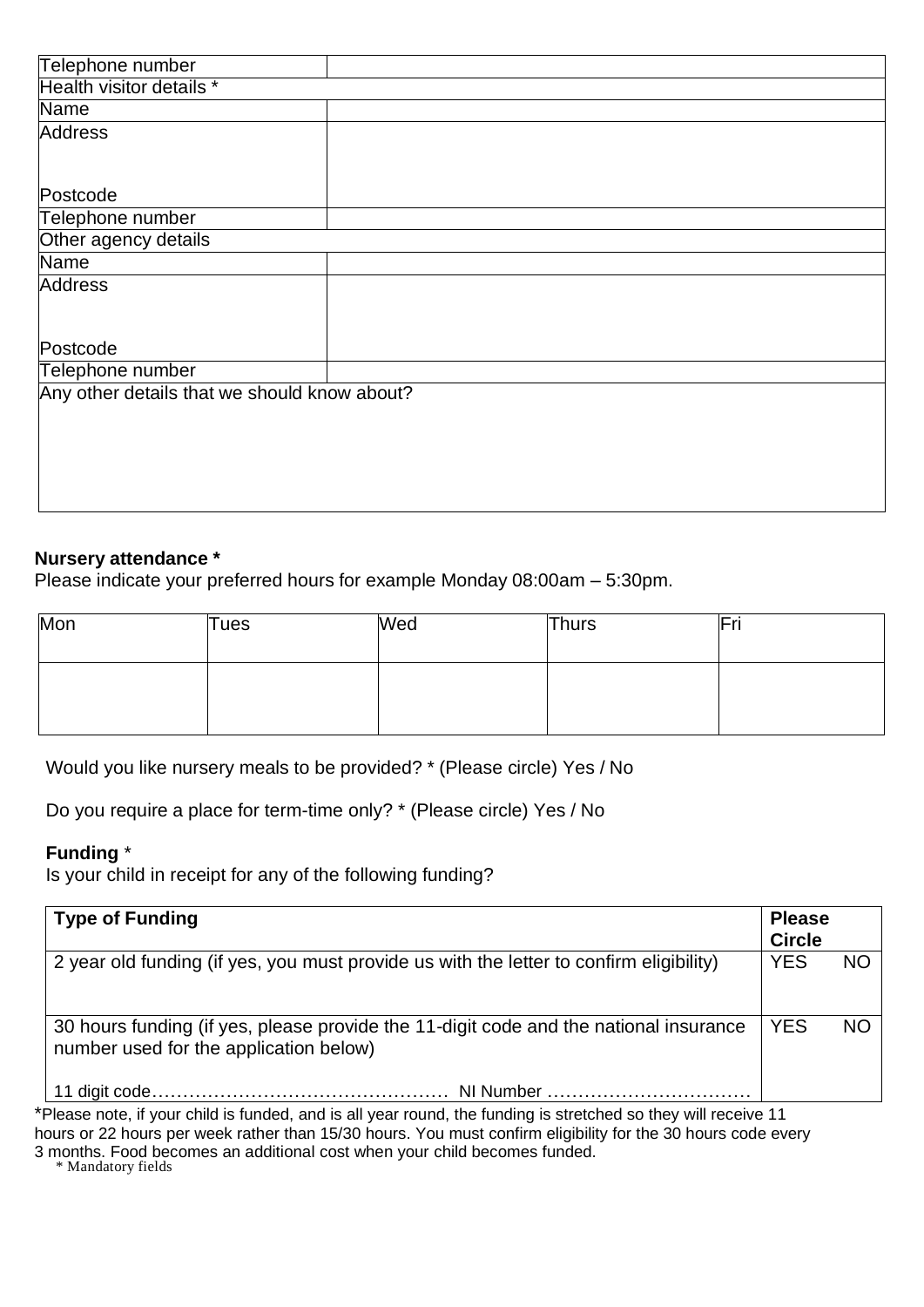| Telephone number                             |  |
|----------------------------------------------|--|
| Health visitor details *                     |  |
| Name                                         |  |
| Address                                      |  |
|                                              |  |
|                                              |  |
| Postcode                                     |  |
| Telephone number                             |  |
| Other agency details                         |  |
| Name                                         |  |
| <b>Address</b>                               |  |
|                                              |  |
|                                              |  |
| Postcode                                     |  |
| Telephone number                             |  |
| Any other details that we should know about? |  |
|                                              |  |
|                                              |  |
|                                              |  |
|                                              |  |
|                                              |  |
|                                              |  |

#### **Nursery attendance \***

Please indicate your preferred hours for example Monday 08:00am – 5:30pm.

| Mon | Tues | Wed | Thurs | Fri |
|-----|------|-----|-------|-----|
|     |      |     |       |     |

Would you like nursery meals to be provided? \* (Please circle) Yes / No

Do you require a place for term-time only? \* (Please circle) Yes / No

#### **Funding** \*

Is your child in receipt for any of the following funding?

| <b>Type of Funding</b>                                                                                                          | <b>Please</b><br><b>Circle</b> |           |
|---------------------------------------------------------------------------------------------------------------------------------|--------------------------------|-----------|
| 2 year old funding (if yes, you must provide us with the letter to confirm eligibility)                                         | <b>YES</b>                     | <b>NO</b> |
| 30 hours funding (if yes, please provide the 11-digit code and the national insurance<br>number used for the application below) | <b>YES</b>                     | <b>NO</b> |
|                                                                                                                                 |                                |           |

\*Please note, if your child is funded, and is all year round, the funding is stretched so they will receive 11

hours or 22 hours per week rather than 15/30 hours. You must confirm eligibility for the 30 hours code every 3 months. Food becomes an additional cost when your child becomes funded.

\* Mandatory fields